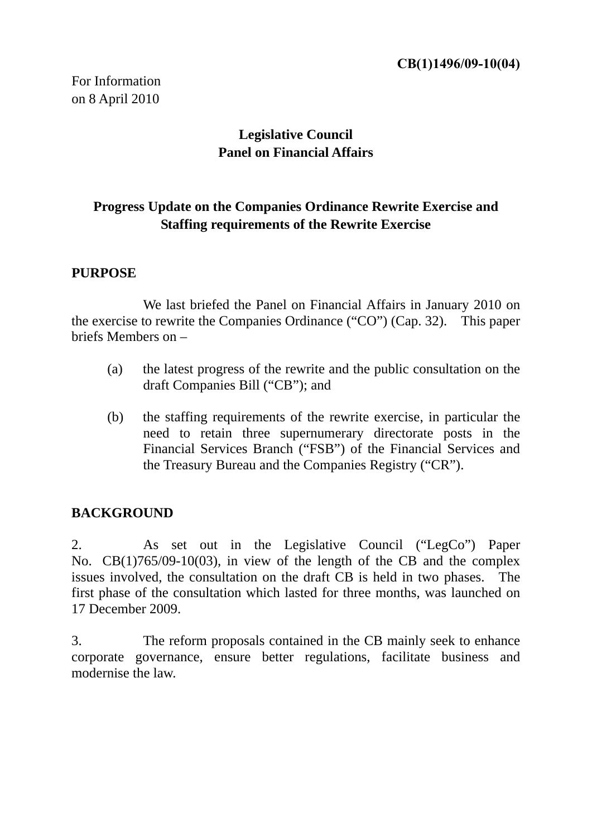For Information on 8 April 2010

# **Legislative Council Panel on Financial Affairs**

# **Progress Update on the Companies Ordinance Rewrite Exercise and Staffing requirements of the Rewrite Exercise**

### **PURPOSE**

We last briefed the Panel on Financial Affairs in January 2010 on the exercise to rewrite the Companies Ordinance ("CO") (Cap. 32). This paper briefs Members on –

- (a) the latest progress of the rewrite and the public consultation on the draft Companies Bill ("CB"); and
- (b) the staffing requirements of the rewrite exercise, in particular the need to retain three supernumerary directorate posts in the Financial Services Branch ("FSB") of the Financial Services and the Treasury Bureau and the Companies Registry ("CR").

### **BACKGROUND**

2. As set out in the Legislative Council ("LegCo") Paper No. CB(1)765/09-10(03), in view of the length of the CB and the complex issues involved, the consultation on the draft CB is held in two phases. The first phase of the consultation which lasted for three months, was launched on 17 December 2009.

3. The reform proposals contained in the CB mainly seek to enhance corporate governance, ensure better regulations, facilitate business and modernise the law.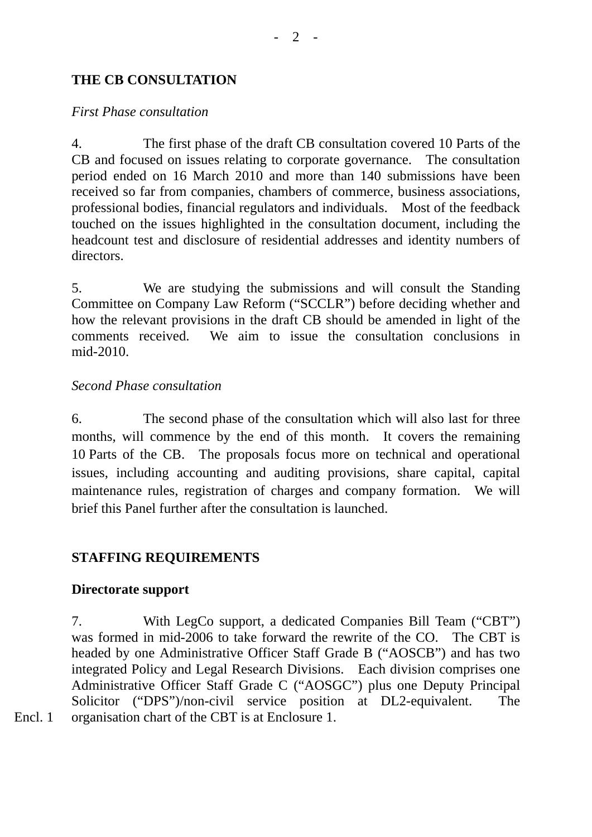## **THE CB CONSULTATION**

#### *First Phase consultation*

4. The first phase of the draft CB consultation covered 10 Parts of the CB and focused on issues relating to corporate governance. The consultation period ended on 16 March 2010 and more than 140 submissions have been received so far from companies, chambers of commerce, business associations, professional bodies, financial regulators and individuals. Most of the feedback touched on the issues highlighted in the consultation document, including the headcount test and disclosure of residential addresses and identity numbers of directors.

5. We are studying the submissions and will consult the Standing Committee on Company Law Reform ("SCCLR") before deciding whether and how the relevant provisions in the draft CB should be amended in light of the comments received. We aim to issue the consultation conclusions in mid-2010.

#### *Second Phase consultation*

6. The second phase of the consultation which will also last for three months, will commence by the end of this month. It covers the remaining 10 Parts of the CB. The proposals focus more on technical and operational issues, including accounting and auditing provisions, share capital, capital maintenance rules, registration of charges and company formation. We will brief this Panel further after the consultation is launched.

### **STAFFING REQUIREMENTS**

### **Directorate support**

7. With LegCo support, a dedicated Companies Bill Team ("CBT") was formed in mid-2006 to take forward the rewrite of the CO. The CBT is headed by one Administrative Officer Staff Grade B ("AOSCB") and has two integrated Policy and Legal Research Divisions. Each division comprises one Administrative Officer Staff Grade C ("AOSGC") plus one Deputy Principal Solicitor ("DPS")/non-civil service position at DL2-equivalent. The Encl. 1 organisation chart of the CBT is at Enclosure 1.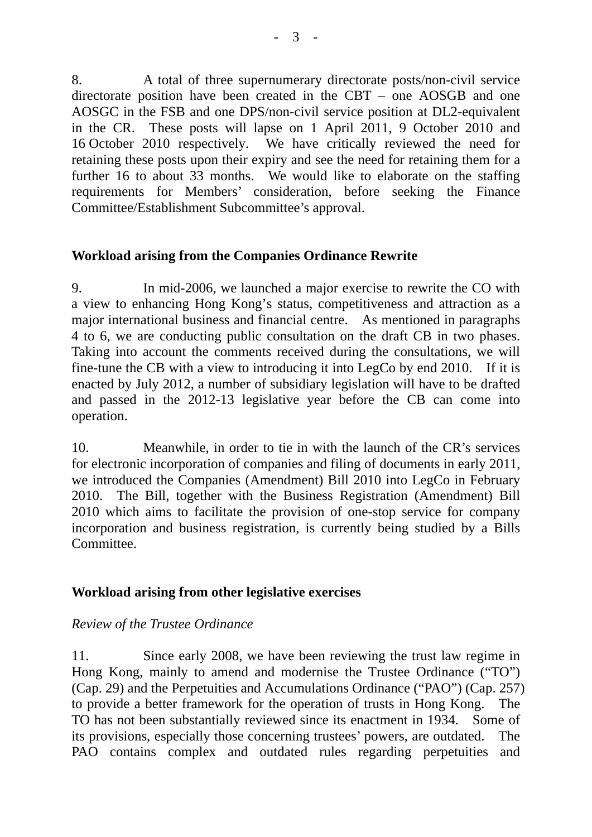8. A total of three supernumerary directorate posts/non-civil service directorate position have been created in the CBT – one AOSGB and one AOSGC in the FSB and one DPS/non-civil service position at DL2-equivalent in the CR. These posts will lapse on 1 April 2011, 9 October 2010 and 16 October 2010 respectively. We have critically reviewed the need for retaining these posts upon their expiry and see the need for retaining them for a further 16 to about 33 months. We would like to elaborate on the staffing requirements for Members' consideration, before seeking the Finance Committee/Establishment Subcommittee's approval.

## **Workload arising from the Companies Ordinance Rewrite**

9. In mid-2006, we launched a major exercise to rewrite the CO with a view to enhancing Hong Kong's status, competitiveness and attraction as a major international business and financial centre. As mentioned in paragraphs 4 to 6, we are conducting public consultation on the draft CB in two phases. Taking into account the comments received during the consultations, we will fine-tune the CB with a view to introducing it into LegCo by end 2010. If it is enacted by July 2012, a number of subsidiary legislation will have to be drafted and passed in the 2012-13 legislative year before the CB can come into operation.

10. Meanwhile, in order to tie in with the launch of the CR's services for electronic incorporation of companies and filing of documents in early 2011, we introduced the Companies (Amendment) Bill 2010 into LegCo in February 2010. The Bill, together with the Business Registration (Amendment) Bill 2010 which aims to facilitate the provision of one-stop service for company incorporation and business registration, is currently being studied by a Bills Committee.

# **Workload arising from other legislative exercises**

### *Review of the Trustee Ordinance*

11. Since early 2008, we have been reviewing the trust law regime in Hong Kong, mainly to amend and modernise the Trustee Ordinance ("TO") (Cap. 29) and the Perpetuities and Accumulations Ordinance ("PAO") (Cap. 257) to provide a better framework for the operation of trusts in Hong Kong. The TO has not been substantially reviewed since its enactment in 1934. Some of its provisions, especially those concerning trustees' powers, are outdated. The PAO contains complex and outdated rules regarding perpetuities and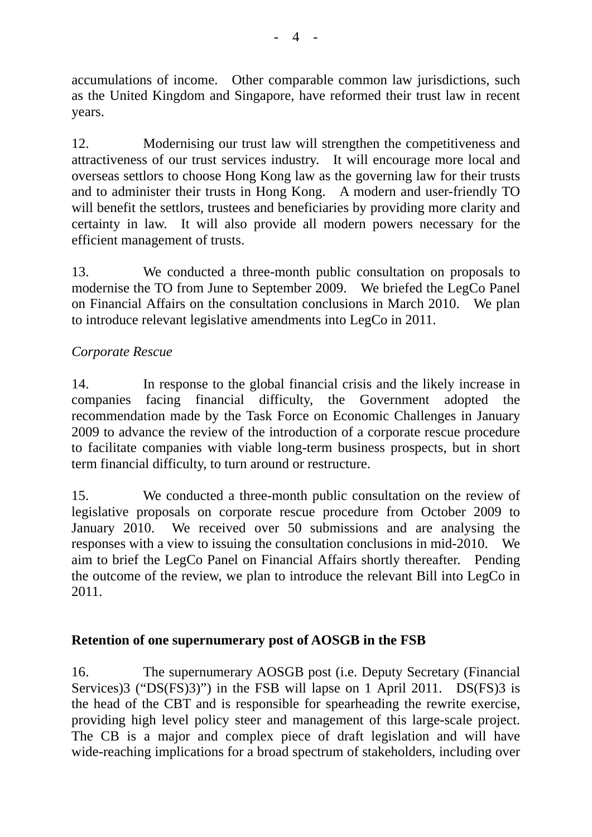accumulations of income. Other comparable common law jurisdictions, such as the United Kingdom and Singapore, have reformed their trust law in recent years.

12. Modernising our trust law will strengthen the competitiveness and attractiveness of our trust services industry. It will encourage more local and overseas settlors to choose Hong Kong law as the governing law for their trusts and to administer their trusts in Hong Kong. A modern and user-friendly TO will benefit the settlors, trustees and beneficiaries by providing more clarity and certainty in law. It will also provide all modern powers necessary for the efficient management of trusts.

13. We conducted a three-month public consultation on proposals to modernise the TO from June to September 2009. We briefed the LegCo Panel on Financial Affairs on the consultation conclusions in March 2010. We plan to introduce relevant legislative amendments into LegCo in 2011.

# *Corporate Rescue*

14. In response to the global financial crisis and the likely increase in companies facing financial difficulty, the Government adopted the recommendation made by the Task Force on Economic Challenges in January 2009 to advance the review of the introduction of a corporate rescue procedure to facilitate companies with viable long-term business prospects, but in short term financial difficulty, to turn around or restructure.

15. We conducted a three-month public consultation on the review of legislative proposals on corporate rescue procedure from October 2009 to January 2010. We received over 50 submissions and are analysing the responses with a view to issuing the consultation conclusions in mid-2010. We aim to brief the LegCo Panel on Financial Affairs shortly thereafter. Pending the outcome of the review, we plan to introduce the relevant Bill into LegCo in 2011.

# **Retention of one supernumerary post of AOSGB in the FSB**

16. The supernumerary AOSGB post (i.e. Deputy Secretary (Financial Services)3 ("DS(FS)3)") in the FSB will lapse on 1 April 2011. DS(FS)3 is the head of the CBT and is responsible for spearheading the rewrite exercise, providing high level policy steer and management of this large-scale project. The CB is a major and complex piece of draft legislation and will have wide-reaching implications for a broad spectrum of stakeholders, including over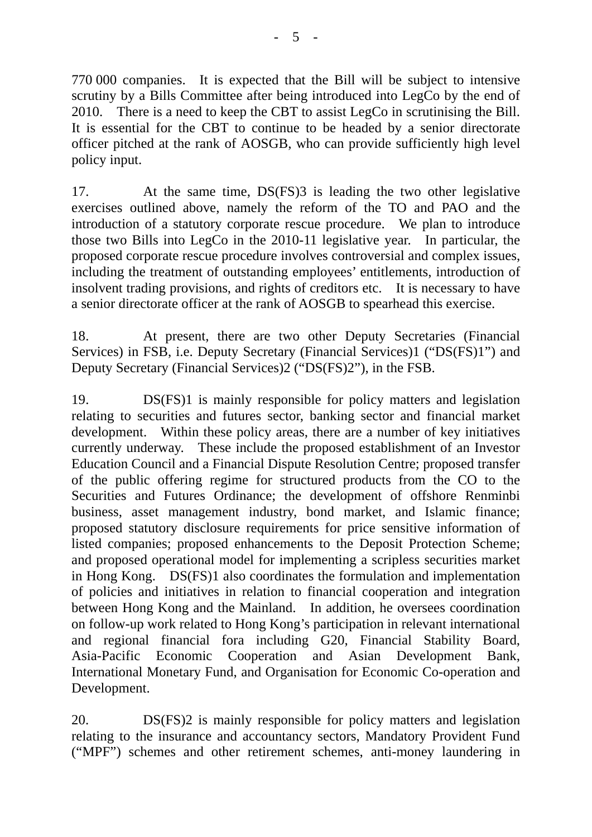770 000 companies. It is expected that the Bill will be subject to intensive scrutiny by a Bills Committee after being introduced into LegCo by the end of 2010. There is a need to keep the CBT to assist LegCo in scrutinising the Bill. It is essential for the CBT to continue to be headed by a senior directorate officer pitched at the rank of AOSGB, who can provide sufficiently high level policy input.

17. At the same time, DS(FS)3 is leading the two other legislative exercises outlined above, namely the reform of the TO and PAO and the introduction of a statutory corporate rescue procedure. We plan to introduce those two Bills into LegCo in the 2010-11 legislative year. In particular, the proposed corporate rescue procedure involves controversial and complex issues, including the treatment of outstanding employees' entitlements, introduction of insolvent trading provisions, and rights of creditors etc. It is necessary to have a senior directorate officer at the rank of AOSGB to spearhead this exercise.

18. At present, there are two other Deputy Secretaries (Financial Services) in FSB, i.e. Deputy Secretary (Financial Services)1 ("DS(FS)1") and Deputy Secretary (Financial Services)2 ("DS(FS)2"), in the FSB.

19. DS(FS)1 is mainly responsible for policy matters and legislation relating to securities and futures sector, banking sector and financial market development. Within these policy areas, there are a number of key initiatives currently underway. These include the proposed establishment of an Investor Education Council and a Financial Dispute Resolution Centre; proposed transfer of the public offering regime for structured products from the CO to the Securities and Futures Ordinance; the development of offshore Renminbi business, asset management industry, bond market, and Islamic finance; proposed statutory disclosure requirements for price sensitive information of listed companies; proposed enhancements to the Deposit Protection Scheme; and proposed operational model for implementing a scripless securities market in Hong Kong. DS(FS)1 also coordinates the formulation and implementation of policies and initiatives in relation to financial cooperation and integration between Hong Kong and the Mainland. In addition, he oversees coordination on follow-up work related to Hong Kong's participation in relevant international and regional financial fora including G20, Financial Stability Board, Asia-Pacific Economic Cooperation and Asian Development Bank, International Monetary Fund, and Organisation for Economic Co-operation and Development.

20. DS(FS)2 is mainly responsible for policy matters and legislation relating to the insurance and accountancy sectors, Mandatory Provident Fund ("MPF") schemes and other retirement schemes, anti-money laundering in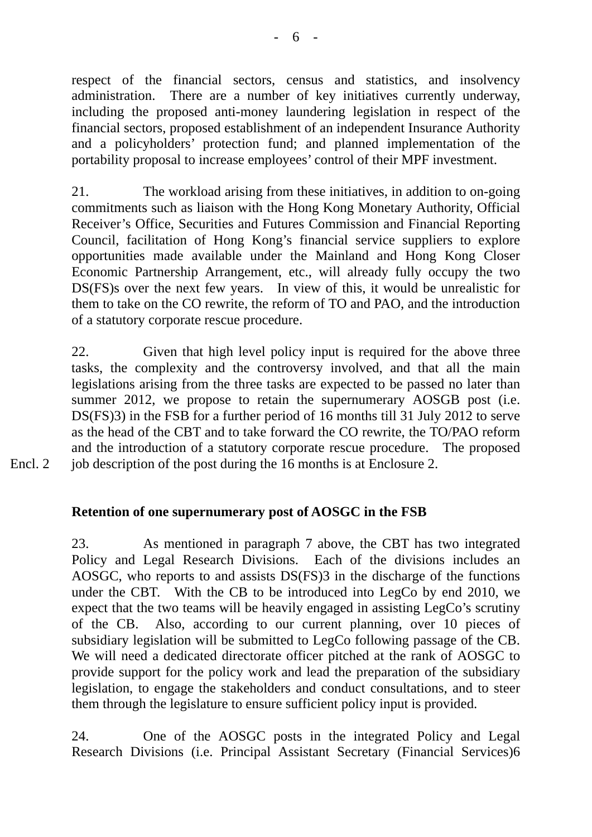respect of the financial sectors, census and statistics, and insolvency administration. There are a number of key initiatives currently underway, including the proposed anti-money laundering legislation in respect of the financial sectors, proposed establishment of an independent Insurance Authority and a policyholders' protection fund; and planned implementation of the portability proposal to increase employees' control of their MPF investment.

21. The workload arising from these initiatives, in addition to on-going commitments such as liaison with the Hong Kong Monetary Authority, Official Receiver's Office, Securities and Futures Commission and Financial Reporting Council, facilitation of Hong Kong's financial service suppliers to explore opportunities made available under the Mainland and Hong Kong Closer Economic Partnership Arrangement, etc., will already fully occupy the two DS(FS)s over the next few years. In view of this, it would be unrealistic for them to take on the CO rewrite, the reform of TO and PAO, and the introduction of a statutory corporate rescue procedure.

22. Given that high level policy input is required for the above three tasks, the complexity and the controversy involved, and that all the main legislations arising from the three tasks are expected to be passed no later than summer 2012, we propose to retain the supernumerary AOSGB post (i.e. DS(FS)3) in the FSB for a further period of 16 months till 31 July 2012 to serve as the head of the CBT and to take forward the CO rewrite, the TO/PAO reform and the introduction of a statutory corporate rescue procedure. The proposed Encl. 2 job description of the post during the 16 months is at Enclosure 2.

# **Retention of one supernumerary post of AOSGC in the FSB**

23. As mentioned in paragraph 7 above, the CBT has two integrated Policy and Legal Research Divisions. Each of the divisions includes an AOSGC, who reports to and assists DS(FS)3 in the discharge of the functions under the CBT. With the CB to be introduced into LegCo by end 2010, we expect that the two teams will be heavily engaged in assisting LegCo's scrutiny of the CB. Also, according to our current planning, over 10 pieces of subsidiary legislation will be submitted to LegCo following passage of the CB. We will need a dedicated directorate officer pitched at the rank of AOSGC to provide support for the policy work and lead the preparation of the subsidiary legislation, to engage the stakeholders and conduct consultations, and to steer them through the legislature to ensure sufficient policy input is provided.

24. One of the AOSGC posts in the integrated Policy and Legal Research Divisions (i.e. Principal Assistant Secretary (Financial Services)6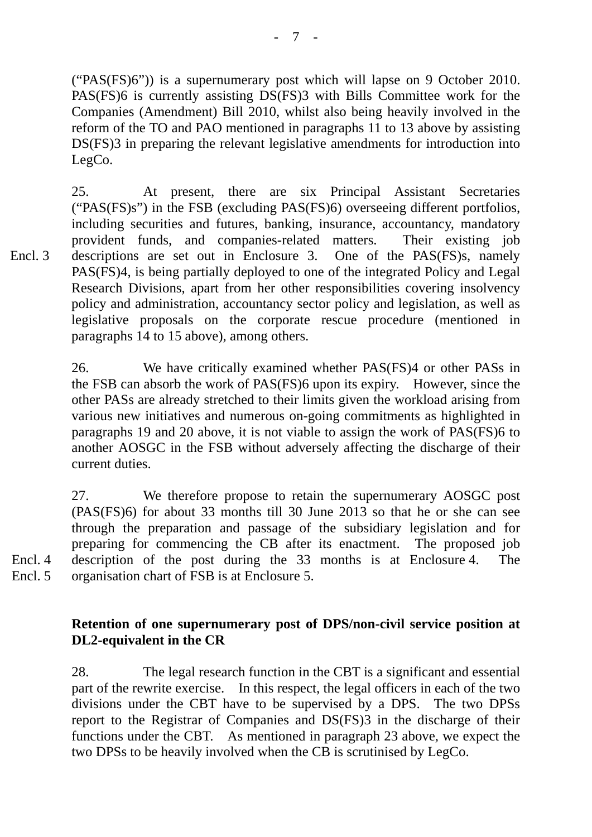("PAS(FS)6")) is a supernumerary post which will lapse on 9 October 2010. PAS(FS)6 is currently assisting DS(FS)3 with Bills Committee work for the Companies (Amendment) Bill 2010, whilst also being heavily involved in the reform of the TO and PAO mentioned in paragraphs 11 to 13 above by assisting DS(FS)3 in preparing the relevant legislative amendments for introduction into LegCo.

25. At present, there are six Principal Assistant Secretaries ("PAS(FS)s") in the FSB (excluding PAS(FS)6) overseeing different portfolios, including securities and futures, banking, insurance, accountancy, mandatory provident funds, and companies-related matters. Their existing job descriptions are set out in Enclosure 3. One of the PAS(FS)s, namely PAS(FS)4, is being partially deployed to one of the integrated Policy and Legal Research Divisions, apart from her other responsibilities covering insolvency policy and administration, accountancy sector policy and legislation, as well as legislative proposals on the corporate rescue procedure (mentioned in paragraphs 14 to 15 above), among others. Encl. 3

> 26. We have critically examined whether PAS(FS)4 or other PASs in the FSB can absorb the work of PAS(FS)6 upon its expiry. However, since the other PASs are already stretched to their limits given the workload arising from various new initiatives and numerous on-going commitments as highlighted in paragraphs 19 and 20 above, it is not viable to assign the work of PAS(FS)6 to another AOSGC in the FSB without adversely affecting the discharge of their current duties.

27. We therefore propose to retain the supernumerary AOSGC post (PAS(FS)6) for about 33 months till 30 June 2013 so that he or she can see through the preparation and passage of the subsidiary legislation and for preparing for commencing the CB after its enactment. The proposed job description of the post during the 33 months is at Enclosure 4. The organisation chart of FSB is at Enclosure 5.

Encl. 4 Encl. 5

# **Retention of one supernumerary post of DPS/non-civil service position at DL2-equivalent in the CR**

28. The legal research function in the CBT is a significant and essential part of the rewrite exercise. In this respect, the legal officers in each of the two divisions under the CBT have to be supervised by a DPS. The two DPSs report to the Registrar of Companies and DS(FS)3 in the discharge of their functions under the CBT. As mentioned in paragraph 23 above, we expect the two DPSs to be heavily involved when the CB is scrutinised by LegCo.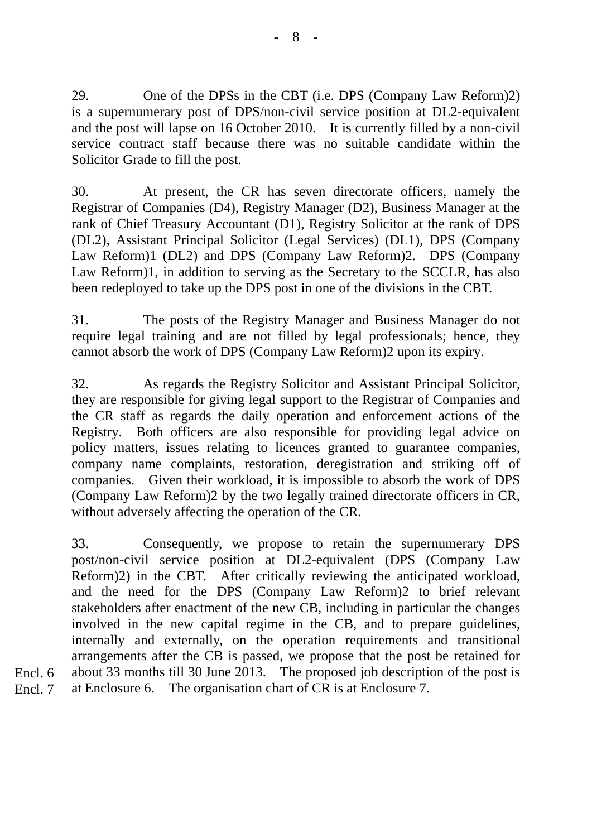29. One of the DPSs in the CBT (i.e. DPS (Company Law Reform)2) is a supernumerary post of DPS/non-civil service position at DL2-equivalent and the post will lapse on 16 October 2010. It is currently filled by a non-civil service contract staff because there was no suitable candidate within the Solicitor Grade to fill the post.

30. At present, the CR has seven directorate officers, namely the Registrar of Companies (D4), Registry Manager (D2), Business Manager at the rank of Chief Treasury Accountant (D1), Registry Solicitor at the rank of DPS (DL2), Assistant Principal Solicitor (Legal Services) (DL1), DPS (Company Law Reform)1 (DL2) and DPS (Company Law Reform)2. DPS (Company Law Reform)1, in addition to serving as the Secretary to the SCCLR, has also been redeployed to take up the DPS post in one of the divisions in the CBT.

31. The posts of the Registry Manager and Business Manager do not require legal training and are not filled by legal professionals; hence, they cannot absorb the work of DPS (Company Law Reform)2 upon its expiry.

32. As regards the Registry Solicitor and Assistant Principal Solicitor, they are responsible for giving legal support to the Registrar of Companies and the CR staff as regards the daily operation and enforcement actions of the Registry. Both officers are also responsible for providing legal advice on policy matters, issues relating to licences granted to guarantee companies, company name complaints, restoration, deregistration and striking off of companies. Given their workload, it is impossible to absorb the work of DPS (Company Law Reform)2 by the two legally trained directorate officers in CR, without adversely affecting the operation of the CR.

33. Consequently, we propose to retain the supernumerary DPS post/non-civil service position at DL2-equivalent (DPS (Company Law Reform)2) in the CBT. After critically reviewing the anticipated workload, and the need for the DPS (Company Law Reform)2 to brief relevant stakeholders after enactment of the new CB, including in particular the changes involved in the new capital regime in the CB, and to prepare guidelines, internally and externally, on the operation requirements and transitional arrangements after the CB is passed, we propose that the post be retained for about 33 months till 30 June 2013. The proposed job description of the post is at Enclosure 6. The organisation chart of CR is at Enclosure 7.

Encl. 6 Encl. 7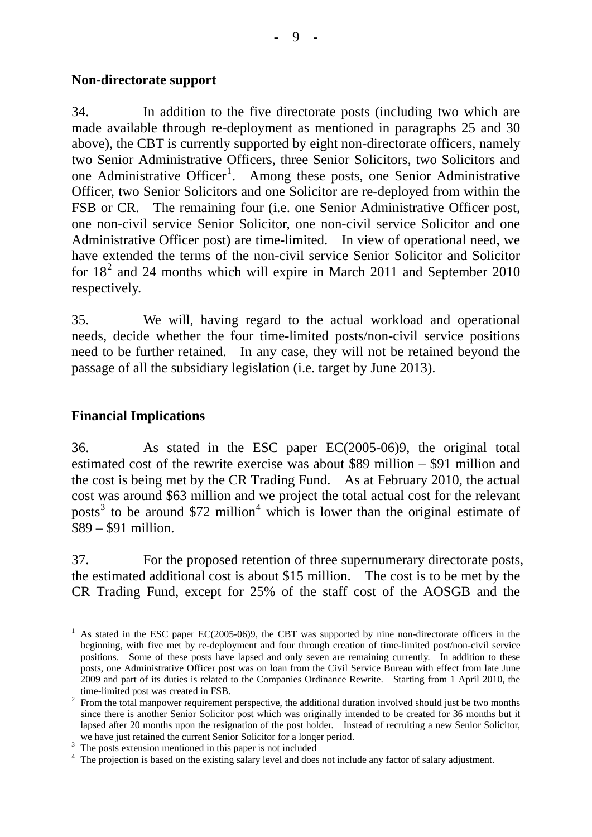#### **Non-directorate support**

34. In addition to the five directorate posts (including two which are made available through re-deployment as mentioned in paragraphs 25 and 30 above), the CBT is currently supported by eight non-directorate officers, namely two Senior Administrative Officers, three Senior Solicitors, two Solicitors and one Administrative Officer<sup>[1](#page-8-0)</sup>. Among these posts, one Senior Administrative Officer, two Senior Solicitors and one Solicitor are re-deployed from within the FSB or CR. The remaining four (i.e. one Senior Administrative Officer post, one non-civil service Senior Solicitor, one non-civil service Solicitor and one Administrative Officer post) are time-limited. In view of operational need, we have extended the terms of the non-civil service Senior Solicitor and Solicitor for  $18<sup>2</sup>$  $18<sup>2</sup>$  $18<sup>2</sup>$  and 24 months which will expire in March 2011 and September 2010 respectively.

35. We will, having regard to the actual workload and operational needs, decide whether the four time-limited posts/non-civil service positions need to be further retained. In any case, they will not be retained beyond the passage of all the subsidiary legislation (i.e. target by June 2013).

## **Financial Implications**

36. As stated in the ESC paper EC(2005-06)9, the original total estimated cost of the rewrite exercise was about \$89 million – \$91 million and the cost is being met by the CR Trading Fund. As at February 2010, the actual cost was around \$63 million and we project the total actual cost for the relevant posts<sup>[3](#page-8-2)</sup> to be around \$72 million<sup>[4](#page-8-3)</sup> which is lower than the original estimate of \$89 – \$91 million.

37. For the proposed retention of three supernumerary directorate posts, the estimated additional cost is about \$15 million. The cost is to be met by the CR Trading Fund, except for 25% of the staff cost of the AOSGB and the

<span id="page-8-0"></span><sup>-</sup><sup>1</sup> As stated in the ESC paper EC(2005-06)9, the CBT was supported by nine non-directorate officers in the beginning, with five met by re-deployment and four through creation of time-limited post/non-civil service positions. Some of these posts have lapsed and only seven are remaining currently. In addition to these posts, one Administrative Officer post was on loan from the Civil Service Bureau with effect from late June 2009 and part of its duties is related to the Companies Ordinance Rewrite. Starting from 1 April 2010, the

<span id="page-8-1"></span>time-limited post was created in FSB.<br><sup>2</sup> From the total manpower requirement perspective, the additional duration involved should just be two months since there is another Senior Solicitor post which was originally intended to be created for 36 months but it lapsed after 20 months upon the resignation of the post holder. Instead of recruiting a new Senior Solicitor, we have just retained the current Senior Solicitor for a longer period.

<span id="page-8-2"></span><sup>&</sup>lt;sup>3</sup> The posts extension mentioned in this paper is not included

<span id="page-8-3"></span><sup>&</sup>lt;sup>4</sup> The projection is based on the existing salary level and does not include any factor of salary adjustment.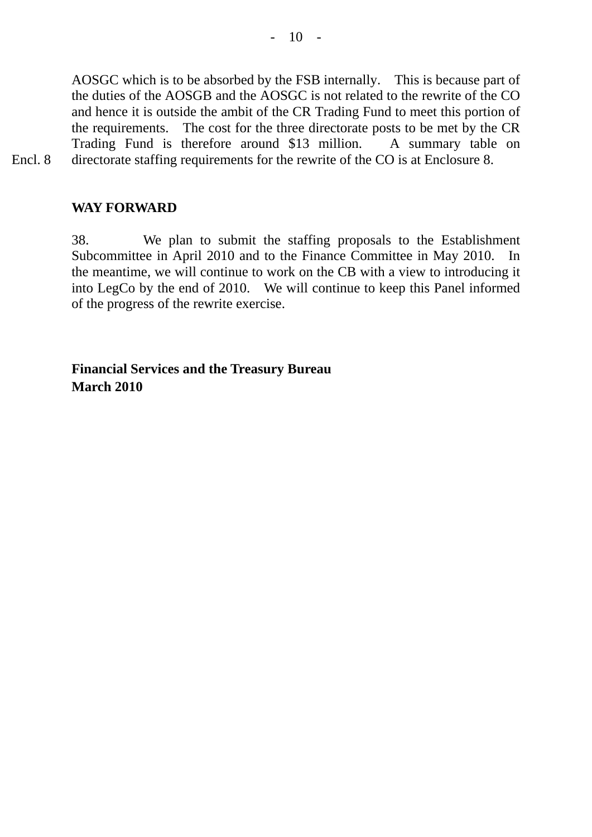AOSGC which is to be absorbed by the FSB internally. This is because part of the duties of the AOSGB and the AOSGC is not related to the rewrite of the CO and hence it is outside the ambit of the CR Trading Fund to meet this portion of the requirements. The cost for the three directorate posts to be met by the CR Trading Fund is therefore around \$13 million. A summary table on Encl. 8 directorate staffing requirements for the rewrite of the CO is at Enclosure 8.

**WAY FORWARD** 

38. We plan to submit the staffing proposals to the Establishment Subcommittee in April 2010 and to the Finance Committee in May 2010. In the meantime, we will continue to work on the CB with a view to introducing it into LegCo by the end of 2010. We will continue to keep this Panel informed of the progress of the rewrite exercise.

**Financial Services and the Treasury Bureau March 2010**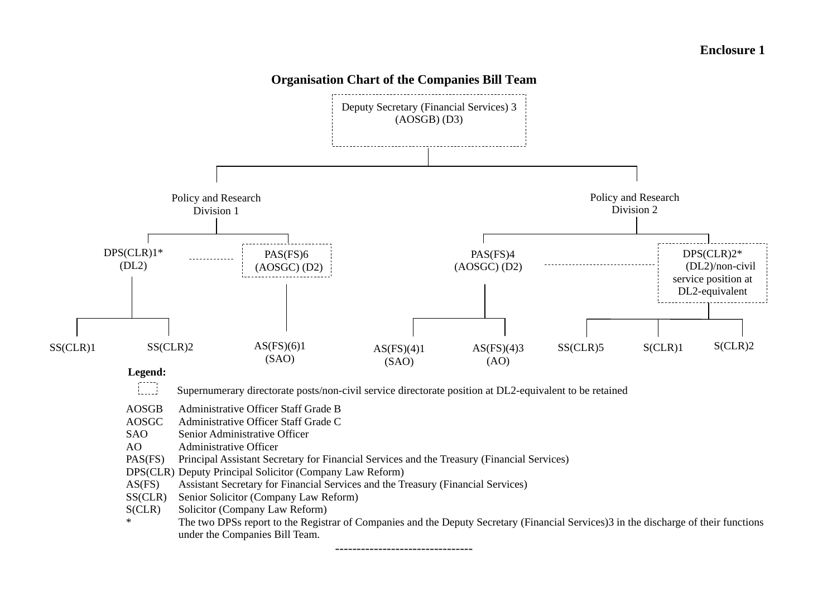

--------------------------------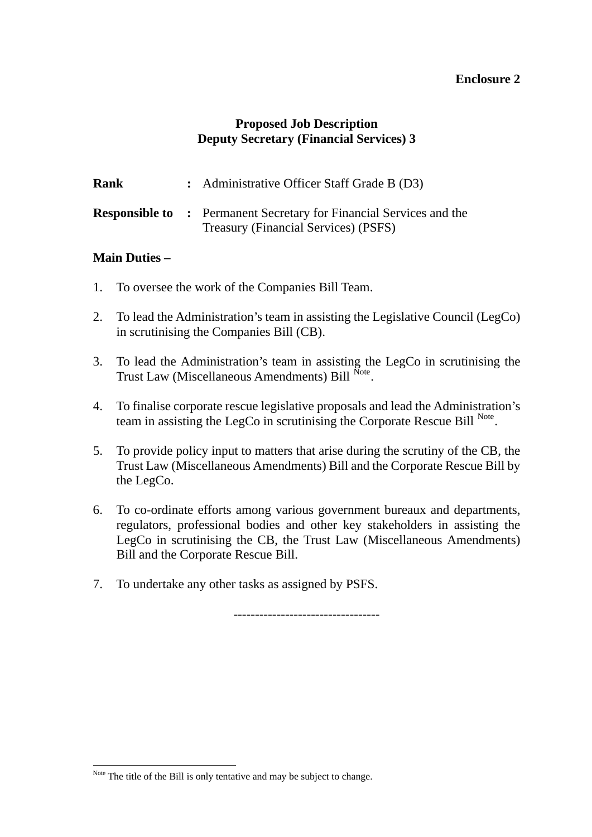#### **Proposed Job Description Deputy Secretary (Financial Services) 3**

| Rank | : Administrative Officer Staff Grade B (D3)                                                                       |
|------|-------------------------------------------------------------------------------------------------------------------|
|      | <b>Responsible to: Permanent Secretary for Financial Services and the</b><br>Treasury (Financial Services) (PSFS) |

#### **Main Duties –**

 $\overline{a}$ 

- 1. To oversee the work of the Companies Bill Team.
- 2. To lead the Administration's team in assisting the Legislative Council (LegCo) in scrutinising the Companies Bill (CB).
- 3. To lead the Administration's team in assisting the LegCo in scrutinising the Trust Law (Miscellaneous Amendments) Bill [Note](#page-11-0).
- 4. To finalise corporate rescue legislative proposals and lead the Administration's team in assisting the LegCo in scrutinising the Corporate Rescue Bill [Note](#page-11-1).
- 5. To provide policy input to matters that arise during the scrutiny of the CB, the Trust Law (Miscellaneous Amendments) Bill and the Corporate Rescue Bill by the LegCo.
- 6. To co-ordinate efforts among various government bureaux and departments, regulators, professional bodies and other key stakeholders in assisting the LegCo in scrutinising the CB, the Trust Law (Miscellaneous Amendments) Bill and the Corporate Rescue Bill.
- 7. To undertake any other tasks as assigned by PSFS.

----------------------------------

<span id="page-11-1"></span><span id="page-11-0"></span>Note The title of the Bill is only tentative and may be subject to change.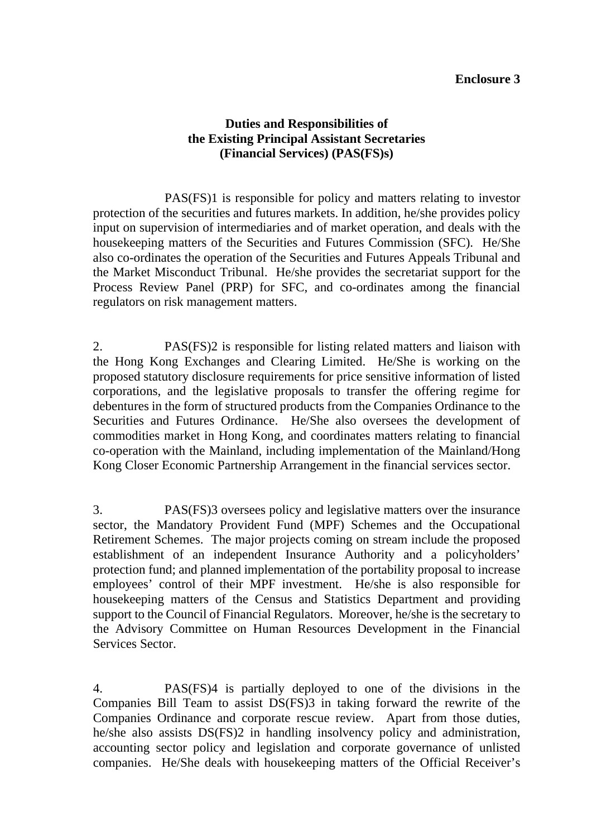#### **Duties and Responsibilities of the Existing Principal Assistant Secretaries (Financial Services) (PAS(FS)s)**

PAS(FS)1 is responsible for policy and matters relating to investor protection of the securities and futures markets. In addition, he/she provides policy input on supervision of intermediaries and of market operation, and deals with the housekeeping matters of the Securities and Futures Commission (SFC). He/She also co-ordinates the operation of the Securities and Futures Appeals Tribunal and the Market Misconduct Tribunal. He/she provides the secretariat support for the Process Review Panel (PRP) for SFC, and co-ordinates among the financial regulators on risk management matters.

2. PAS(FS)2 is responsible for listing related matters and liaison with the Hong Kong Exchanges and Clearing Limited. He/She is working on the proposed statutory disclosure requirements for price sensitive information of listed corporations, and the legislative proposals to transfer the offering regime for debentures in the form of structured products from the Companies Ordinance to the Securities and Futures Ordinance. He/She also oversees the development of commodities market in Hong Kong, and coordinates matters relating to financial co-operation with the Mainland, including implementation of the Mainland/Hong Kong Closer Economic Partnership Arrangement in the financial services sector.

3. PAS(FS)3 oversees policy and legislative matters over the insurance sector, the Mandatory Provident Fund (MPF) Schemes and the Occupational Retirement Schemes. The major projects coming on stream include the proposed establishment of an independent Insurance Authority and a policyholders' protection fund; and planned implementation of the portability proposal to increase employees' control of their MPF investment. He/she is also responsible for housekeeping matters of the Census and Statistics Department and providing support to the Council of Financial Regulators. Moreover, he/she is the secretary to the Advisory Committee on Human Resources Development in the Financial Services Sector.

4. PAS(FS)4 is partially deployed to one of the divisions in the Companies Bill Team to assist DS(FS)3 in taking forward the rewrite of the Companies Ordinance and corporate rescue review. Apart from those duties, he/she also assists DS(FS)2 in handling insolvency policy and administration, accounting sector policy and legislation and corporate governance of unlisted companies. He/She deals with housekeeping matters of the Official Receiver's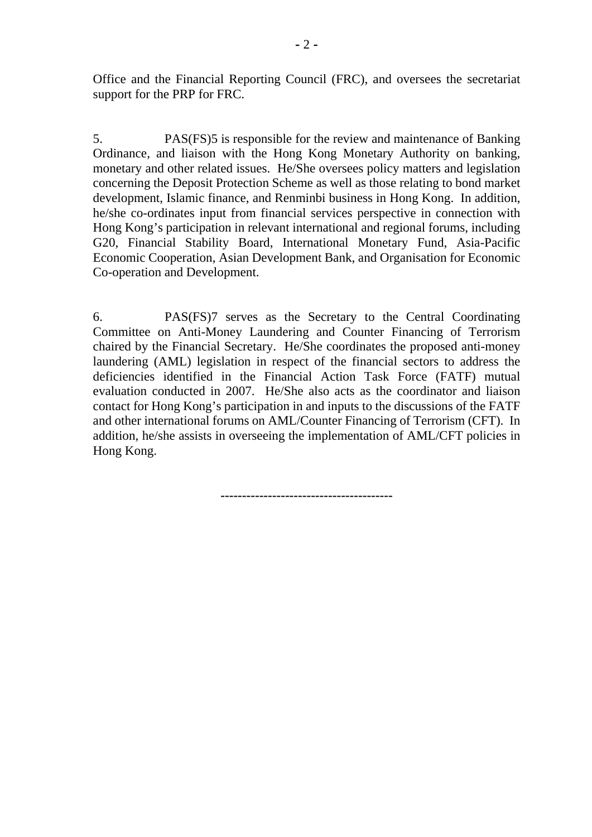Office and the Financial Reporting Council (FRC), and oversees the secretariat support for the PRP for FRC.

5. PAS(FS)5 is responsible for the review and maintenance of Banking Ordinance, and liaison with the Hong Kong Monetary Authority on banking, monetary and other related issues. He/She oversees policy matters and legislation concerning the Deposit Protection Scheme as well as those relating to bond market development, Islamic finance, and Renminbi business in Hong Kong. In addition, he/she co-ordinates input from financial services perspective in connection with Hong Kong's participation in relevant international and regional forums, including G20, Financial Stability Board, International Monetary Fund, Asia-Pacific Economic Cooperation, Asian Development Bank, and Organisation for Economic Co-operation and Development.

6. PAS(FS)7 serves as the Secretary to the Central Coordinating Committee on Anti-Money Laundering and Counter Financing of Terrorism chaired by the Financial Secretary. He/She coordinates the proposed anti-money laundering (AML) legislation in respect of the financial sectors to address the deficiencies identified in the Financial Action Task Force (FATF) mutual evaluation conducted in 2007. He/She also acts as the coordinator and liaison contact for Hong Kong's participation in and inputs to the discussions of the FATF and other international forums on AML/Counter Financing of Terrorism (CFT). In addition, he/she assists in overseeing the implementation of AML/CFT policies in Hong Kong.

**----------------------------------------**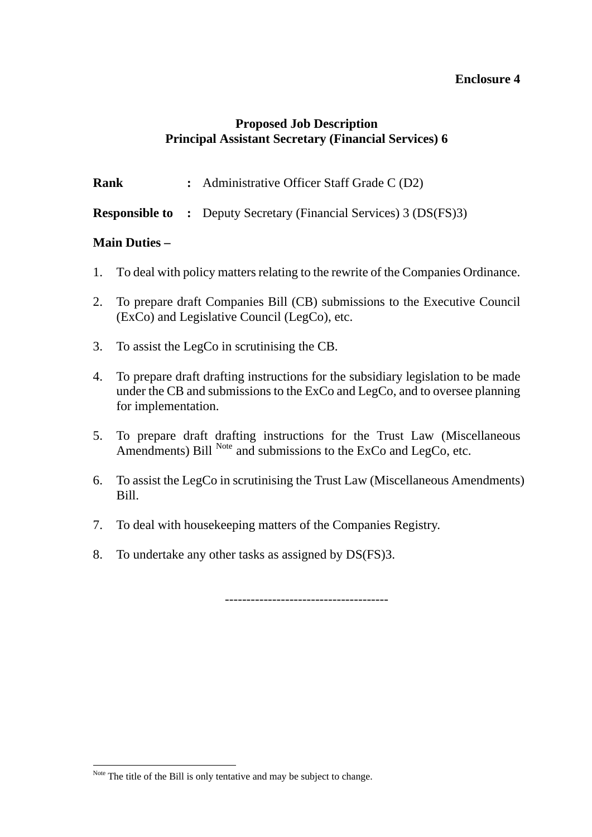#### **Proposed Job Description Principal Assistant Secretary (Financial Services) 6**

**Rank** : Administrative Officer Staff Grade C (D2)

**Responsible to :** Deputy Secretary (Financial Services) 3 (DS(FS)3)

#### **Main Duties –**

- 1. To deal with policy matters relating to the rewrite of the Companies Ordinance.
- 2. To prepare draft Companies Bill (CB) submissions to the Executive Council (ExCo) and Legislative Council (LegCo), etc.
- 3. To assist the LegCo in scrutinising the CB.
- 4. To prepare draft drafting instructions for the subsidiary legislation to be made under the CB and submissions to the ExCo and LegCo, and to oversee planning for implementation.
- 5. To prepare draft drafting instructions for the Trust Law (Miscellaneous Amendments) Bill  $^{Note}$  $^{Note}$  $^{Note}$  and submissions to the ExCo and LegCo, etc.
- 6. To assist the LegCo in scrutinising the Trust Law (Miscellaneous Amendments) Bill.
- 7. To deal with housekeeping matters of the Companies Registry.
- 8. To undertake any other tasks as assigned by DS(FS)3.

--------------------------------------

<span id="page-14-0"></span> $\overline{a}$ Note The title of the Bill is only tentative and may be subject to change.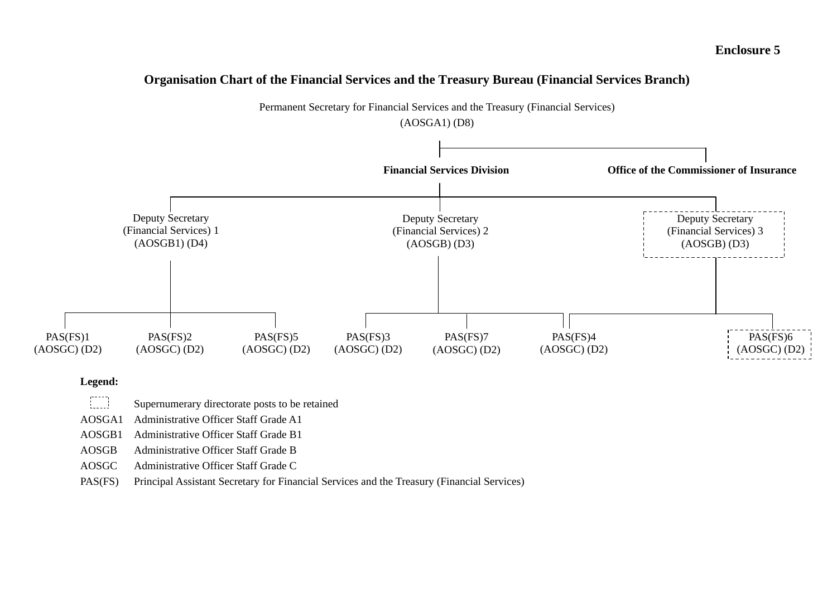#### **Organisation Chart of the Financial Services and the Treasury Bureau (Financial Services Branch)**



#### **Legend:**

 $\mathbb{C}$ Supernumerary directorate posts to be retained

AOSGA1 Administrative Officer Staff Grade A1

AOSGB1 Administrative Officer Staff Grade B1

AOSGB Administrative Officer Staff Grade B

AOSGC Administrative Officer Staff Grade C

PAS(FS) Principal Assistant Secretary for Financial Services and the Treasury (Financial Services)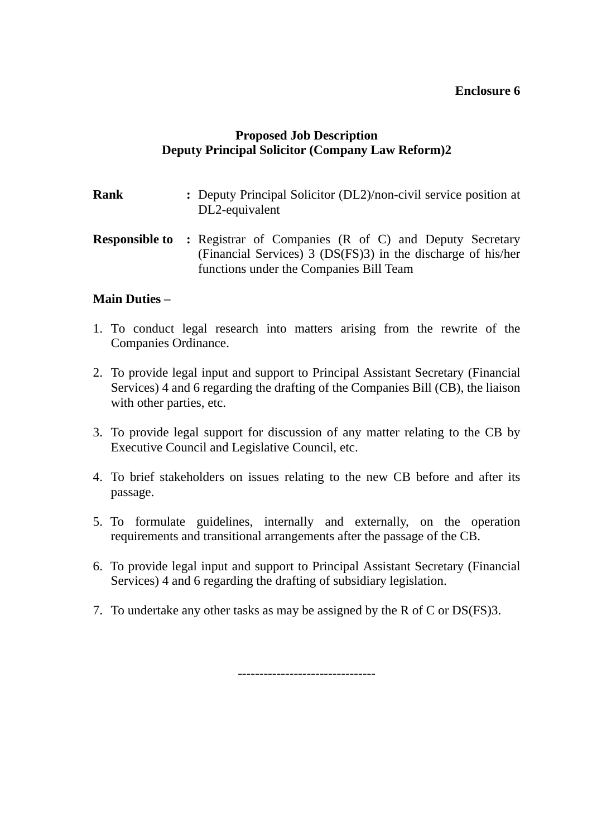## **Proposed Job Description Deputy Principal Solicitor (Company Law Reform)2**

- **Rank :** Deputy Principal Solicitor (DL2)/non-civil service position at DL2-equivalent
- **Responsible to: Registrar of Companies (R of C) and Deputy Secretary** (Financial Services) 3 (DS(FS)3) in the discharge of his/her functions under the Companies Bill Team

#### **Main Duties –**

- 1. To conduct legal research into matters arising from the rewrite of the Companies Ordinance.
- 2. To provide legal input and support to Principal Assistant Secretary (Financial Services) 4 and 6 regarding the drafting of the Companies Bill (CB), the liaison with other parties, etc.
- 3. To provide legal support for discussion of any matter relating to the CB by Executive Council and Legislative Council, etc.
- 4. To brief stakeholders on issues relating to the new CB before and after its passage.
- 5. To formulate guidelines, internally and externally, on the operation requirements and transitional arrangements after the passage of the CB.
- 6. To provide legal input and support to Principal Assistant Secretary (Financial Services) 4 and 6 regarding the drafting of subsidiary legislation.
- 7. To undertake any other tasks as may be assigned by the R of C or DS(FS)3.

--------------------------------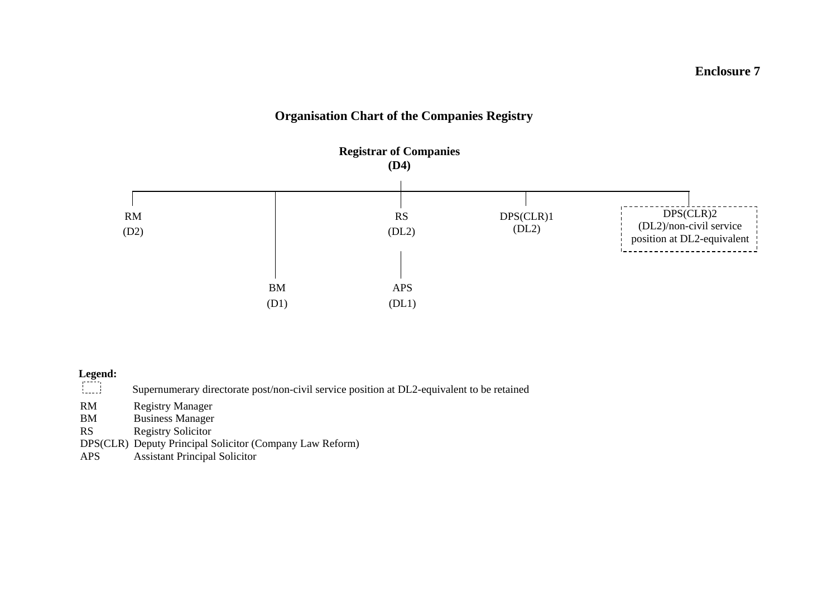# **Organisation Chart of the Companies Registry**



# **Legend:**

| المحملة   | Supernumerary directorate post/non-civil service position at DL2-equivalent to be retained |
|-----------|--------------------------------------------------------------------------------------------|
| RM        | Registry Manager                                                                           |
| BM        | <b>Business Manager</b>                                                                    |
| <b>RS</b> | <b>Registry Solicitor</b>                                                                  |

- DPS(CLR) Deputy Principal Solicitor (Company Law Reform)
- APS Assistant Principal Solicitor